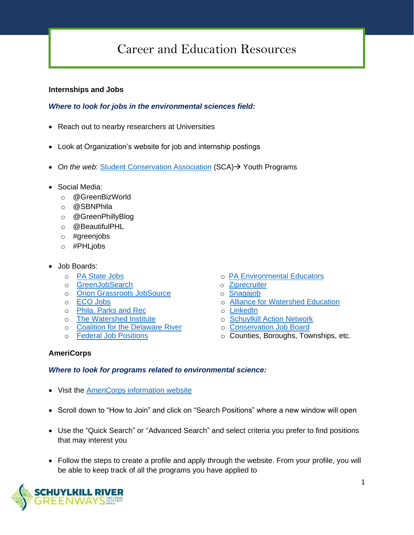# Career and Education Resources

#### **Internships and Jobs**

## *Where to look for jobs in the environmental sciences field:*

- Reach out to nearby researchers at Universities
- Look at Organization's website for job and internship postings
- *On the web*: [Student Conservation Association](https://www.thesca.org/) (SCA) → Youth Programs
- Social Media:
	- o @GreenBizWorld
	- o @SBNPhila
	- o @GreenPhillyBlog
	- o @BeautifulPHL
	- o #greenjobs
	- o #PHLjobs
- Job Boards:
	-
	- o [GreenJobSearch](http://greenjobsearch.org/) o [Ziprecruiter](https://www.ziprecruiter.com/)
	- o **[Orion Grassroots JobSource](http://jobs.orionmagazine.org/) by Constanting Constructs** o [Snagajob](https://www.snagajob.com/)
	- o [ECO Jobs](http://www.ecojobs.com/)
	- o [Phila. Parks and Rec](https://www.phila.gov/documents/philadelphia-parks-recreation-job-opportunities/)
	- o [The Watershed Institute](https://thewatershed.org/employment/)
	- o [Coalition for the Delaware River](http://www.delriverwatershed.org/watershed-jobs)
	- o F[ederal Job Positions](https://www.usajobs.gov/)
	- o [PA State Jobs](https://www.employment.pa.gov/Pages/default.aspx) o [PA Environmental](http://www.paee.net/ee-job-postings.html) Educators
		-
		-
		- o **[Alliance for Watershed Education](https://www.watershedalliance.org/education/employment/)**
		- o [LinkedIn](https://www.linkedin.com/)
		- o S[chuylkill Action Network](https://www.schuylkillwaters.org/resources/jobs-board)
		- o [Conservation Job Board](https://www.conservationjobboard.com/)
		- o Counties, Boroughs, Townships, etc.

#### **AmeriCorps**

#### *Where to look for programs related to environmental science:*

- Visit the **AmeriCorps information website**
- Scroll down to "How to Join" and click on "Search Positions" where a new window will open
- Use the "Quick Search" or "Advanced Search" and select criteria you prefer to find positions that may interest you
- Follow the steps to create a profile and apply through the website. From your profile, you will be able to keep track of all the programs you have applied to